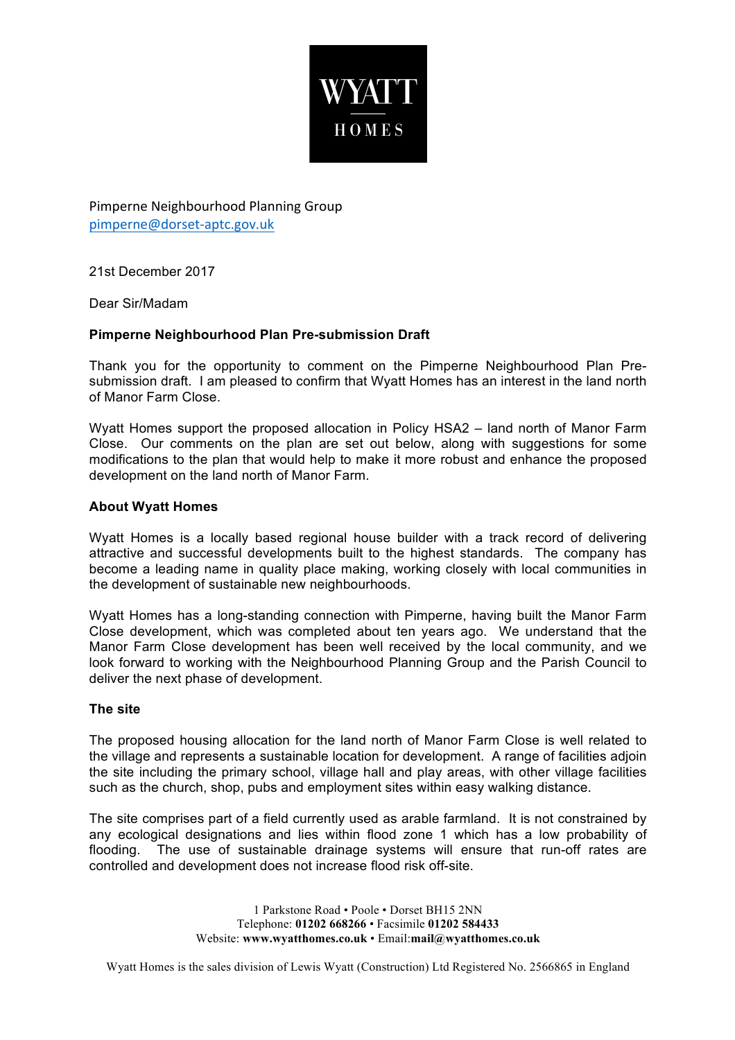

Pimperne Neighbourhood Planning Group pimperne@dorset-aptc.gov.uk

21st December 2017

Dear Sir/Madam

# **Pimperne Neighbourhood Plan Pre-submission Draft**

Thank you for the opportunity to comment on the Pimperne Neighbourhood Plan Presubmission draft. I am pleased to confirm that Wyatt Homes has an interest in the land north of Manor Farm Close.

Wyatt Homes support the proposed allocation in Policy HSA2 – land north of Manor Farm Close. Our comments on the plan are set out below, along with suggestions for some modifications to the plan that would help to make it more robust and enhance the proposed development on the land north of Manor Farm.

## **About Wyatt Homes**

Wyatt Homes is a locally based regional house builder with a track record of delivering attractive and successful developments built to the highest standards. The company has become a leading name in quality place making, working closely with local communities in the development of sustainable new neighbourhoods.

Wyatt Homes has a long-standing connection with Pimperne, having built the Manor Farm Close development, which was completed about ten years ago. We understand that the Manor Farm Close development has been well received by the local community, and we look forward to working with the Neighbourhood Planning Group and the Parish Council to deliver the next phase of development.

## **The site**

The proposed housing allocation for the land north of Manor Farm Close is well related to the village and represents a sustainable location for development. A range of facilities adjoin the site including the primary school, village hall and play areas, with other village facilities such as the church, shop, pubs and employment sites within easy walking distance.

The site comprises part of a field currently used as arable farmland. It is not constrained by any ecological designations and lies within flood zone 1 which has a low probability of flooding. The use of sustainable drainage systems will ensure that run-off rates are controlled and development does not increase flood risk off-site.

> 1 Parkstone Road • Poole • Dorset BH15 2NN Telephone: **01202 668266** • Facsimile **01202 584433** Website: **www.wyatthomes.co.uk** • Email:**mail@wyatthomes.co.uk**

Wyatt Homes is the sales division of Lewis Wyatt (Construction) Ltd Registered No. 2566865 in England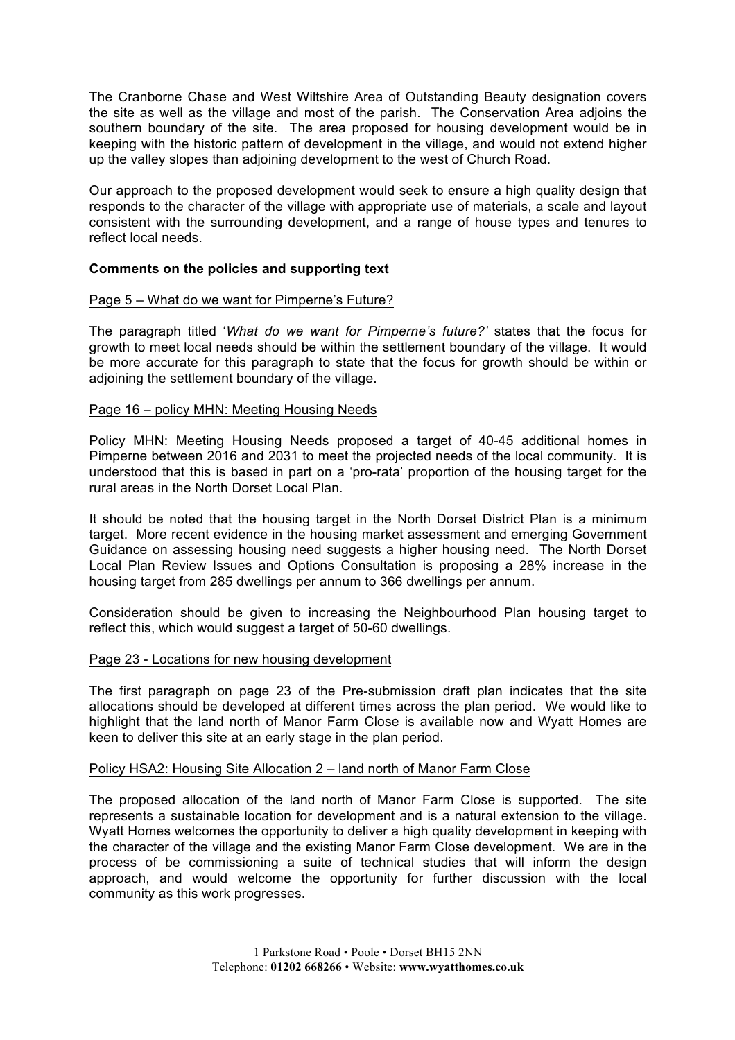The Cranborne Chase and West Wiltshire Area of Outstanding Beauty designation covers the site as well as the village and most of the parish. The Conservation Area adjoins the southern boundary of the site. The area proposed for housing development would be in keeping with the historic pattern of development in the village, and would not extend higher up the valley slopes than adjoining development to the west of Church Road.

Our approach to the proposed development would seek to ensure a high quality design that responds to the character of the village with appropriate use of materials, a scale and layout consistent with the surrounding development, and a range of house types and tenures to reflect local needs.

## **Comments on the policies and supporting text**

## Page 5 – What do we want for Pimperne's Future?

The paragraph titled '*What do we want for Pimperne's future?'* states that the focus for growth to meet local needs should be within the settlement boundary of the village. It would be more accurate for this paragraph to state that the focus for growth should be within or adjoining the settlement boundary of the village.

## Page 16 – policy MHN: Meeting Housing Needs

Policy MHN: Meeting Housing Needs proposed a target of 40-45 additional homes in Pimperne between 2016 and 2031 to meet the projected needs of the local community. It is understood that this is based in part on a 'pro-rata' proportion of the housing target for the rural areas in the North Dorset Local Plan.

It should be noted that the housing target in the North Dorset District Plan is a minimum target. More recent evidence in the housing market assessment and emerging Government Guidance on assessing housing need suggests a higher housing need. The North Dorset Local Plan Review Issues and Options Consultation is proposing a 28% increase in the housing target from 285 dwellings per annum to 366 dwellings per annum.

Consideration should be given to increasing the Neighbourhood Plan housing target to reflect this, which would suggest a target of 50-60 dwellings.

#### Page 23 - Locations for new housing development

The first paragraph on page 23 of the Pre-submission draft plan indicates that the site allocations should be developed at different times across the plan period. We would like to highlight that the land north of Manor Farm Close is available now and Wyatt Homes are keen to deliver this site at an early stage in the plan period.

#### Policy HSA2: Housing Site Allocation 2 – land north of Manor Farm Close

The proposed allocation of the land north of Manor Farm Close is supported. The site represents a sustainable location for development and is a natural extension to the village. Wyatt Homes welcomes the opportunity to deliver a high quality development in keeping with the character of the village and the existing Manor Farm Close development. We are in the process of be commissioning a suite of technical studies that will inform the design approach, and would welcome the opportunity for further discussion with the local community as this work progresses.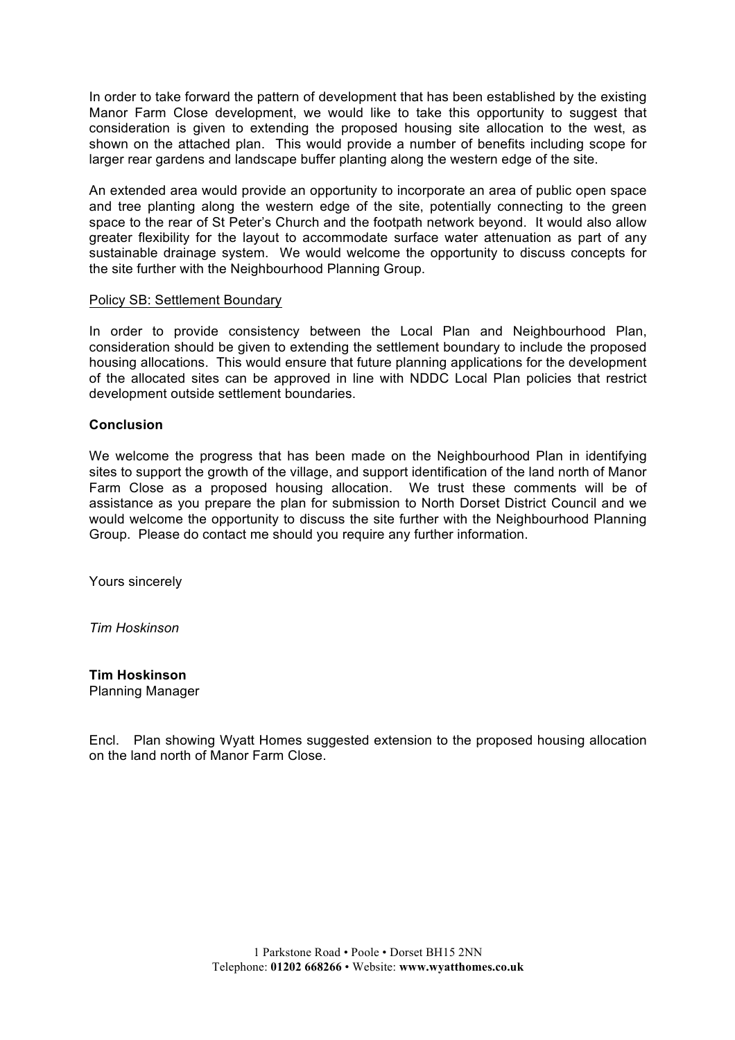In order to take forward the pattern of development that has been established by the existing Manor Farm Close development, we would like to take this opportunity to suggest that consideration is given to extending the proposed housing site allocation to the west, as shown on the attached plan. This would provide a number of benefits including scope for larger rear gardens and landscape buffer planting along the western edge of the site.

An extended area would provide an opportunity to incorporate an area of public open space and tree planting along the western edge of the site, potentially connecting to the green space to the rear of St Peter's Church and the footpath network beyond. It would also allow greater flexibility for the layout to accommodate surface water attenuation as part of any sustainable drainage system. We would welcome the opportunity to discuss concepts for the site further with the Neighbourhood Planning Group.

#### Policy SB: Settlement Boundary

In order to provide consistency between the Local Plan and Neighbourhood Plan, consideration should be given to extending the settlement boundary to include the proposed housing allocations. This would ensure that future planning applications for the development of the allocated sites can be approved in line with NDDC Local Plan policies that restrict development outside settlement boundaries.

## **Conclusion**

We welcome the progress that has been made on the Neighbourhood Plan in identifying sites to support the growth of the village, and support identification of the land north of Manor Farm Close as a proposed housing allocation. We trust these comments will be of assistance as you prepare the plan for submission to North Dorset District Council and we would welcome the opportunity to discuss the site further with the Neighbourhood Planning Group. Please do contact me should you require any further information.

Yours sincerely

*Tim Hoskinson*

#### **Tim Hoskinson** Planning Manager

Encl. Plan showing Wyatt Homes suggested extension to the proposed housing allocation on the land north of Manor Farm Close.